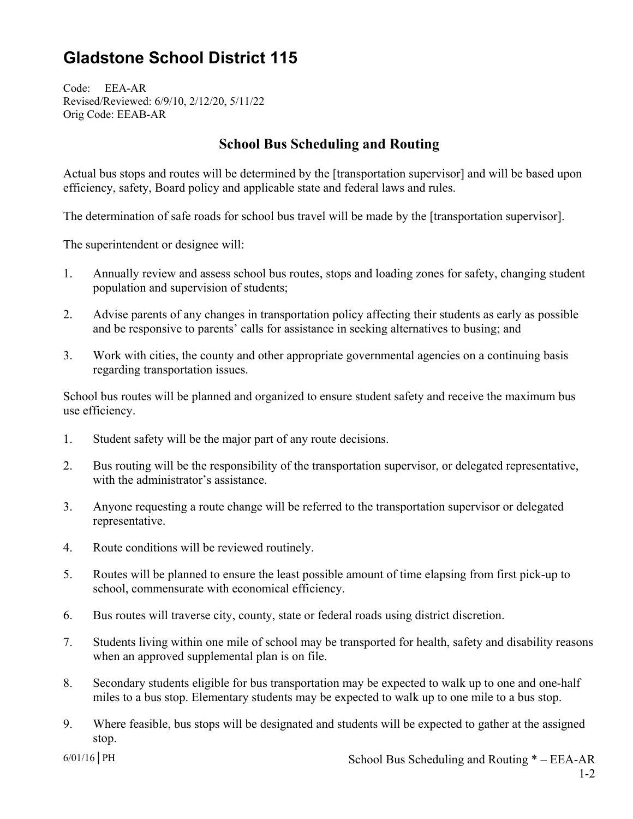## **Gladstone School District 115**

Code: EEA-AR Revised/Reviewed: 6/9/10, 2/12/20, 5/11/22 Orig Code: EEAB-AR

## **School Bus Scheduling and Routing**

Actual bus stops and routes will be determined by the [transportation supervisor] and will be based upon efficiency, safety, Board policy and applicable state and federal laws and rules.

The determination of safe roads for school bus travel will be made by the [transportation supervisor].

The superintendent or designee will:

- 1. Annually review and assess school bus routes, stops and loading zones for safety, changing student population and supervision of students;
- 2. Advise parents of any changes in transportation policy affecting their students as early as possible and be responsive to parents' calls for assistance in seeking alternatives to busing; and
- 3. Work with cities, the county and other appropriate governmental agencies on a continuing basis regarding transportation issues.

School bus routes will be planned and organized to ensure student safety and receive the maximum bus use efficiency.

- 1. Student safety will be the major part of any route decisions.
- 2. Bus routing will be the responsibility of the transportation supervisor, or delegated representative, with the administrator's assistance.
- 3. Anyone requesting a route change will be referred to the transportation supervisor or delegated representative.
- 4. Route conditions will be reviewed routinely.
- 5. Routes will be planned to ensure the least possible amount of time elapsing from first pick-up to school, commensurate with economical efficiency.
- 6. Bus routes will traverse city, county, state or federal roads using district discretion.
- 7. Students living within one mile of school may be transported for health, safety and disability reasons when an approved supplemental plan is on file.
- 8. Secondary students eligible for bus transportation may be expected to walk up to one and one-half miles to a bus stop. Elementary students may be expected to walk up to one mile to a bus stop.
- 9. Where feasible, bus stops will be designated and students will be expected to gather at the assigned stop.